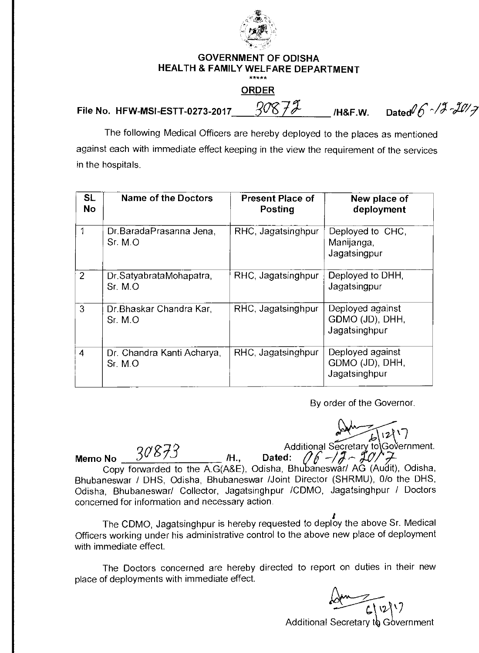

## **GOVERNMENT OF ODISHA HEALTH & FAMILY WELFARE DEPARTMENT**  فأرضت فأنطو ملو

## **ORDER**

File No. HFW-MSI-ESTT-0273-2017\_\_\_\_\_\_308 72-**11 /H&F.W.** Dated 6 ~ / 3 ~20 / 7

The following Medical Officers are hereby deployed to the places as mentioned against each with immediate effect keeping in the view the requirement of the services in the hospitals.

| <b>SL</b><br><b>No</b> | Name of the Doctors                   | <b>Present Place of</b><br><b>Posting</b> | New place of<br>deployment                           |
|------------------------|---------------------------------------|-------------------------------------------|------------------------------------------------------|
| 1                      | Dr.BaradaPrasanna Jena.<br>Sr. M.O    | RHC, Jagatsinghpur                        | Deployed to CHC,<br>Manijanga,<br>Jagatsingpur       |
| $\overline{2}$         | Dr.SatyabrataMohapatra,<br>Sr. M.O    | RHC, Jagatsinghpur                        | Deployed to DHH,<br>Jagatsingpur                     |
| 3                      | Dr. Bhaskar Chandra Kar,<br>Sr. M. O  | RHC, Jagatsinghpur                        | Deployed against<br>GDMO (JD), DHH,<br>Jagatsinghpur |
| 4                      | Dr. Chandra Kanti Acharya,<br>Sr. M.O | RHC, Jagatsinghpur                        | Deployed against<br>GDMO (JD), DHH,<br>Jagatsinghpur |

By order of the Governor.

**Memo No**  $30873$ Secretary to Government. Additional Secretary to Copy forwarded to the A.G(A&E), Odisha, Bhubaneswar/ AG (Audit), Odisha, Bhubaneswar / DHS, Odisha, Bhubaneswar /Joint Director (SHRMU), 0/o the DHS, Odisha, Bhubaneswar/ Collector, Jagatsinghpur /CDMO, Jagatsinghpur / Doctors concerned for information and necessary action.

The CDMO, Jagatsinghpur is hereby requested to deploy the above Sr. Medical Officers working under his administrative control to the above new place of deployment with immediate effect.

The Doctors concerned are hereby directed to report on duties in their new place of deployments with immediate effect.

<u>Som</u>  $\sqrt{2}$ Additional Secretary to Government